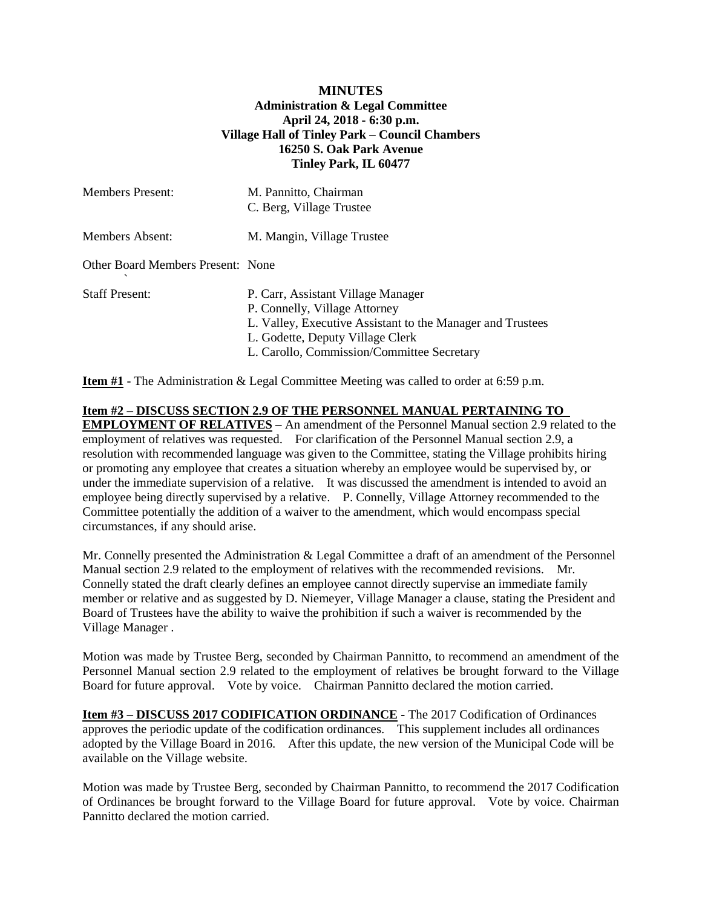## **MINUTES Administration & Legal Committee April 24, 2018 - 6:30 p.m. Village Hall of Tinley Park – Council Chambers 16250 S. Oak Park Avenue Tinley Park, IL 60477**

| <b>Members Present:</b>           | M. Pannitto, Chairman<br>C. Berg, Village Trustee                                                                                                                                                                   |
|-----------------------------------|---------------------------------------------------------------------------------------------------------------------------------------------------------------------------------------------------------------------|
| Members Absent:                   | M. Mangin, Village Trustee                                                                                                                                                                                          |
| Other Board Members Present: None |                                                                                                                                                                                                                     |
| <b>Staff Present:</b>             | P. Carr, Assistant Village Manager<br>P. Connelly, Village Attorney<br>L. Valley, Executive Assistant to the Manager and Trustees<br>L. Godette, Deputy Village Clerk<br>L. Carollo, Commission/Committee Secretary |

**Item #1** - The Administration & Legal Committee Meeting was called to order at 6:59 p.m.

**Item #2 – DISCUSS SECTION 2.9 OF THE PERSONNEL MANUAL PERTAINING TO EMPLOYMENT OF RELATIVES –** An amendment of the Personnel Manual section 2.9 related to the employment of relatives was requested. For clarification of the Personnel Manual section 2.9, a resolution with recommended language was given to the Committee, stating the Village prohibits hiring or promoting any employee that creates a situation whereby an employee would be supervised by, or under the immediate supervision of a relative. It was discussed the amendment is intended to avoid an employee being directly supervised by a relative. P. Connelly, Village Attorney recommended to the Committee potentially the addition of a waiver to the amendment, which would encompass special circumstances, if any should arise.

Mr. Connelly presented the Administration & Legal Committee a draft of an amendment of the Personnel Manual section 2.9 related to the employment of relatives with the recommended revisions. Mr. Connelly stated the draft clearly defines an employee cannot directly supervise an immediate family member or relative and as suggested by D. Niemeyer, Village Manager a clause, stating the President and Board of Trustees have the ability to waive the prohibition if such a waiver is recommended by the Village Manager .

Motion was made by Trustee Berg, seconded by Chairman Pannitto, to recommend an amendment of the Personnel Manual section 2.9 related to the employment of relatives be brought forward to the Village Board for future approval. Vote by voice. Chairman Pannitto declared the motion carried.

**Item #3 – DISCUSS 2017 CODIFICATION ORDINANCE -** The 2017 Codification of Ordinances approves the periodic update of the codification ordinances. This supplement includes all ordinances adopted by the Village Board in 2016. After this update, the new version of the Municipal Code will be available on the Village website.

Motion was made by Trustee Berg, seconded by Chairman Pannitto, to recommend the 2017 Codification of Ordinances be brought forward to the Village Board for future approval. Vote by voice. Chairman Pannitto declared the motion carried.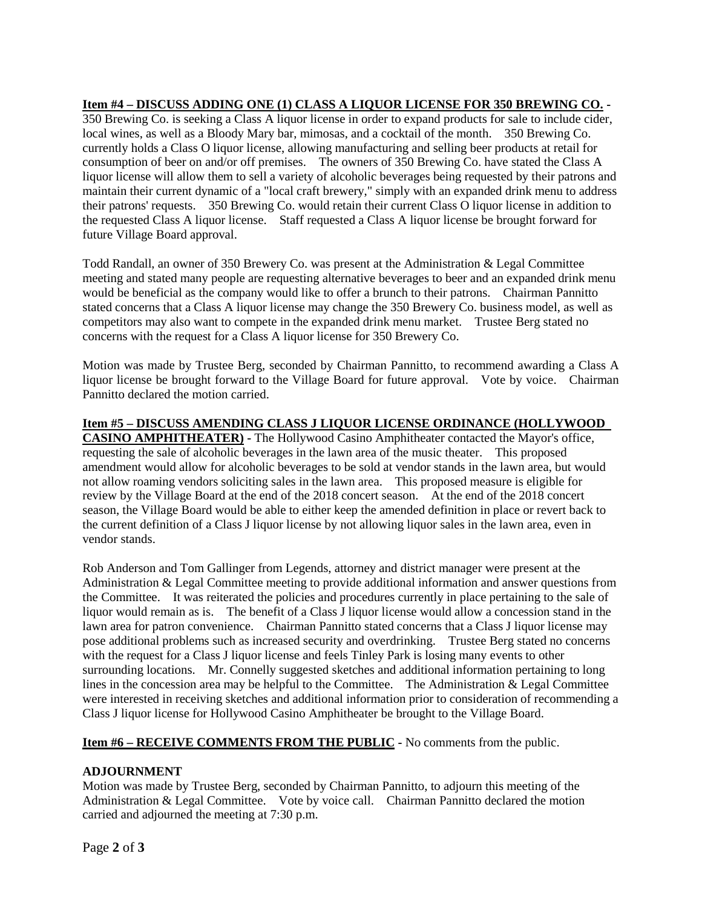## **Item #4 – DISCUSS ADDING ONE (1) CLASS A LIQUOR LICENSE FOR 350 BREWING CO. -**

350 Brewing Co. is seeking a Class A liquor license in order to expand products for sale to include cider, local wines, as well as a Bloody Mary bar, mimosas, and a cocktail of the month. 350 Brewing Co. currently holds a Class O liquor license, allowing manufacturing and selling beer products at retail for consumption of beer on and/or off premises. The owners of 350 Brewing Co. have stated the Class A liquor license will allow them to sell a variety of alcoholic beverages being requested by their patrons and maintain their current dynamic of a "local craft brewery," simply with an expanded drink menu to address their patrons' requests. 350 Brewing Co. would retain their current Class O liquor license in addition to the requested Class A liquor license. Staff requested a Class A liquor license be brought forward for future Village Board approval.

Todd Randall, an owner of 350 Brewery Co. was present at the Administration & Legal Committee meeting and stated many people are requesting alternative beverages to beer and an expanded drink menu would be beneficial as the company would like to offer a brunch to their patrons. Chairman Pannitto stated concerns that a Class A liquor license may change the 350 Brewery Co. business model, as well as competitors may also want to compete in the expanded drink menu market. Trustee Berg stated no concerns with the request for a Class A liquor license for 350 Brewery Co.

Motion was made by Trustee Berg, seconded by Chairman Pannitto, to recommend awarding a Class A liquor license be brought forward to the Village Board for future approval. Vote by voice. Chairman Pannitto declared the motion carried.

**Item #5 – DISCUSS AMENDING CLASS J LIQUOR LICENSE ORDINANCE (HOLLYWOOD CASINO AMPHITHEATER) -** The Hollywood Casino Amphitheater contacted the Mayor's office, requesting the sale of alcoholic beverages in the lawn area of the music theater. This proposed amendment would allow for alcoholic beverages to be sold at vendor stands in the lawn area, but would not allow roaming vendors soliciting sales in the lawn area. This proposed measure is eligible for review by the Village Board at the end of the 2018 concert season. At the end of the 2018 concert season, the Village Board would be able to either keep the amended definition in place or revert back to the current definition of a Class J liquor license by not allowing liquor sales in the lawn area, even in vendor stands.

Rob Anderson and Tom Gallinger from Legends, attorney and district manager were present at the Administration & Legal Committee meeting to provide additional information and answer questions from the Committee. It was reiterated the policies and procedures currently in place pertaining to the sale of liquor would remain as is. The benefit of a Class J liquor license would allow a concession stand in the lawn area for patron convenience. Chairman Pannitto stated concerns that a Class J liquor license may pose additional problems such as increased security and overdrinking. Trustee Berg stated no concerns with the request for a Class J liquor license and feels Tinley Park is losing many events to other surrounding locations. Mr. Connelly suggested sketches and additional information pertaining to long lines in the concession area may be helpful to the Committee. The Administration & Legal Committee were interested in receiving sketches and additional information prior to consideration of recommending a Class J liquor license for Hollywood Casino Amphitheater be brought to the Village Board.

## **Item #6 – RECEIVE COMMENTS FROM THE PUBLIC -** No comments from the public.

## **ADJOURNMENT**

Motion was made by Trustee Berg, seconded by Chairman Pannitto, to adjourn this meeting of the Administration & Legal Committee. Vote by voice call. Chairman Pannitto declared the motion carried and adjourned the meeting at 7:30 p.m.